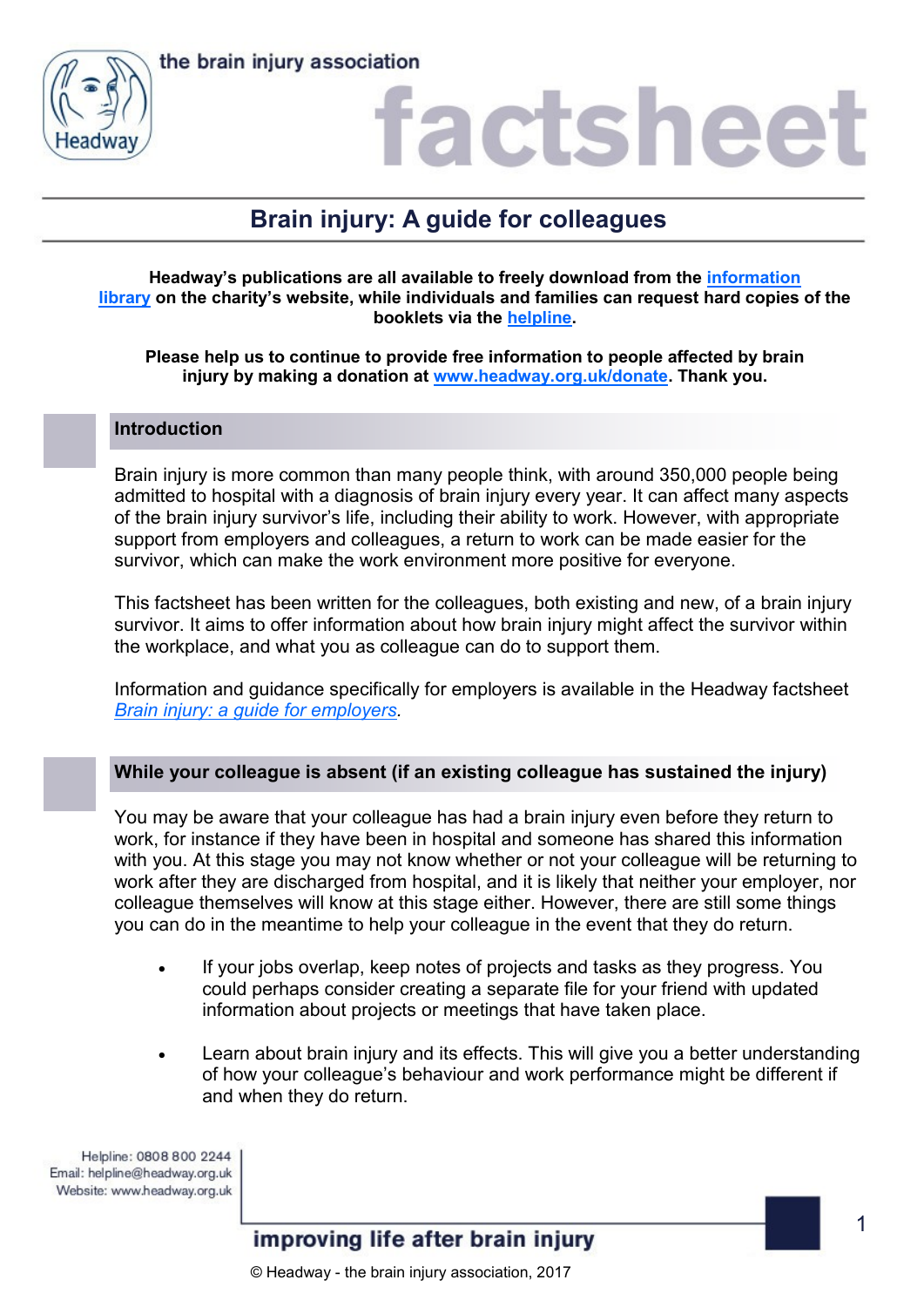

### factshee

### **Brain injury: A guide for colleagues**

#### **Headway's publications are all available to freely download from the [information](https://www.headway.org.uk/about-brain-injury/individuals/information-library/)  [library](https://www.headway.org.uk/about-brain-injury/individuals/information-library/) on the charity's website, while individuals and families can request hard copies of the booklets via the [helpline.](https://www.headway.org.uk/supporting-you/helpline/)**

**Please help us to continue to provide free information to people affected by brain injury by making a donation at [www.headway.org.uk/donate.](http://www.headway.org.uk/donate) Thank you.**

#### **Introduction**

Brain injury is more common than many people think, with around 350,000 people being admitted to hospital with a diagnosis of brain injury every year. It can affect many aspects of the brain injury survivor's life, including their ability to work. However, with appropriate support from employers and colleagues, a return to work can be made easier for the survivor, which can make the work environment more positive for everyone.

This factsheet has been written for the colleagues, both existing and new, of a brain injury survivor. It aims to offer information about how brain injury might affect the survivor within the workplace, and what you as colleague can do to support them.

Information and guidance specifically for employers is available in the Headway factsheet *[Brain injury: a guide for employers.](https://www.headway.org.uk/media/4123/brain-injury-a-guide-for-employers.pdf)* 

### **While your colleague is absent (if an existing colleague has sustained the injury)**

You may be aware that your colleague has had a brain injury even before they return to work, for instance if they have been in hospital and someone has shared this information with you. At this stage you may not know whether or not your colleague will be returning to work after they are discharged from hospital, and it is likely that neither your employer, nor colleague themselves will know at this stage either. However, there are still some things you can do in the meantime to help your colleague in the event that they do return.

- If your jobs overlap, keep notes of projects and tasks as they progress. You could perhaps consider creating a separate file for your friend with updated information about projects or meetings that have taken place.
- Learn about brain injury and its effects. This will give you a better understanding of how your colleague's behaviour and work performance might be different if and when they do return.

Helpline: 0808 800 2244 Email: helpline@headway.org.uk Website: www.headway.org.uk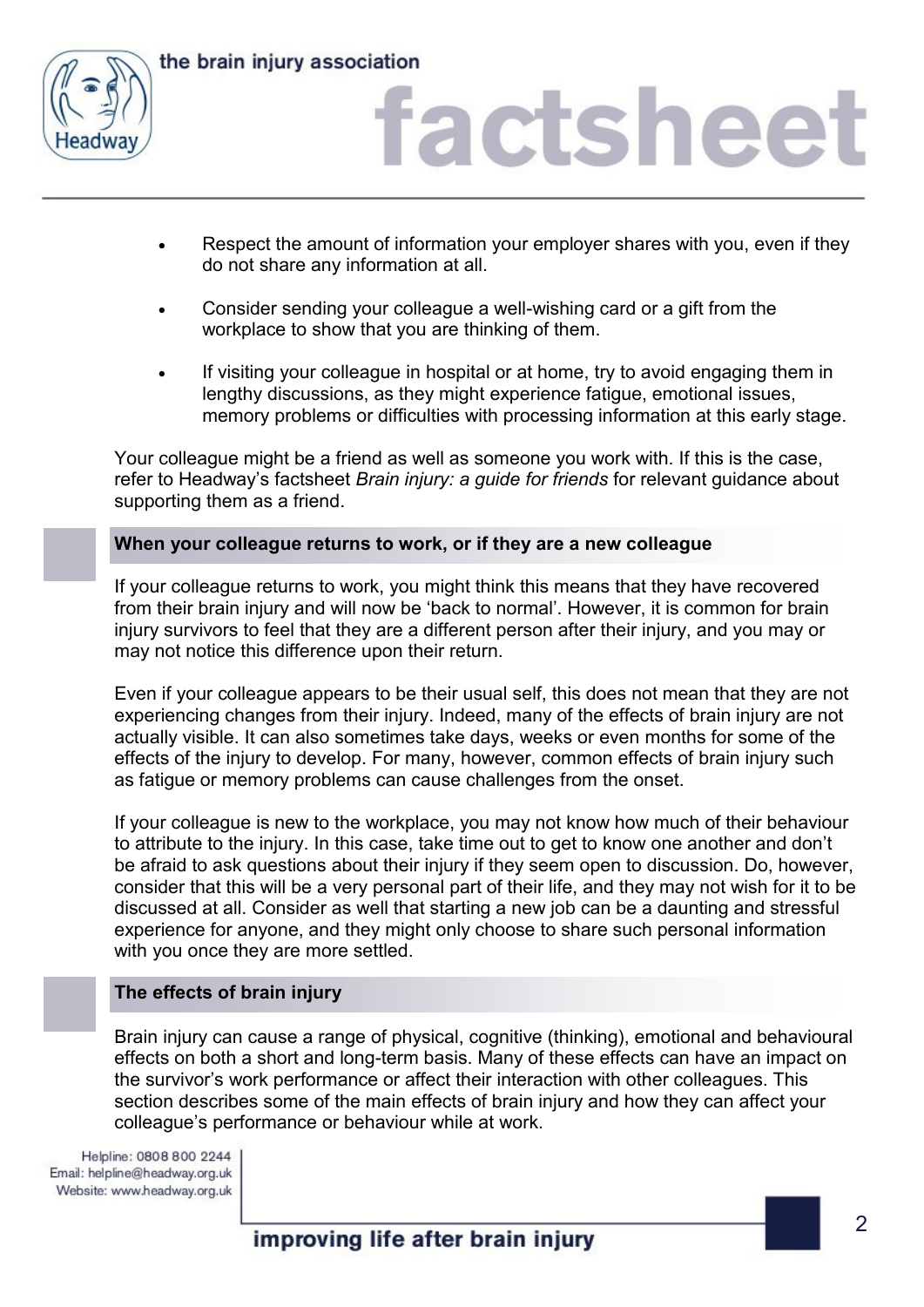

## factsheet

- Respect the amount of information your employer shares with you, even if they do not share any information at all.
- Consider sending your colleague a well-wishing card or a gift from the workplace to show that you are thinking of them.
- If visiting your colleague in hospital or at home, try to avoid engaging them in lengthy discussions, as they might experience fatigue, emotional issues, memory problems or difficulties with processing information at this early stage.

Your colleague might be a friend as well as someone you work with. If this is the case, refer to Headway's factsheet *Brain injury: a guide for friends* for relevant guidance about supporting them as a friend.

### **When your colleague returns to work, or if they are a new colleague**

If your colleague returns to work, you might think this means that they have recovered from their brain injury and will now be 'back to normal'. However, it is common for brain injury survivors to feel that they are a different person after their injury, and you may or may not notice this difference upon their return.

Even if your colleague appears to be their usual self, this does not mean that they are not experiencing changes from their injury. Indeed, many of the effects of brain injury are not actually visible. It can also sometimes take days, weeks or even months for some of the effects of the injury to develop. For many, however, common effects of brain injury such as fatigue or memory problems can cause challenges from the onset.

If your colleague is new to the workplace, you may not know how much of their behaviour to attribute to the injury. In this case, take time out to get to know one another and don't be afraid to ask questions about their injury if they seem open to discussion. Do, however, consider that this will be a very personal part of their life, and they may not wish for it to be discussed at all. Consider as well that starting a new job can be a daunting and stressful experience for anyone, and they might only choose to share such personal information with you once they are more settled.

### **The effects of brain injury**

Brain injury can cause a range of physical, cognitive (thinking), emotional and behavioural effects on both a short and long-term basis. Many of these effects can have an impact on the survivor's work performance or affect their interaction with other colleagues. This section describes some of the main effects of brain injury and how they can affect your colleague's performance or behaviour while at work.

Helpline: 0808 800 2244 Email: helpline@headway.org.uk Website: www.headway.org.uk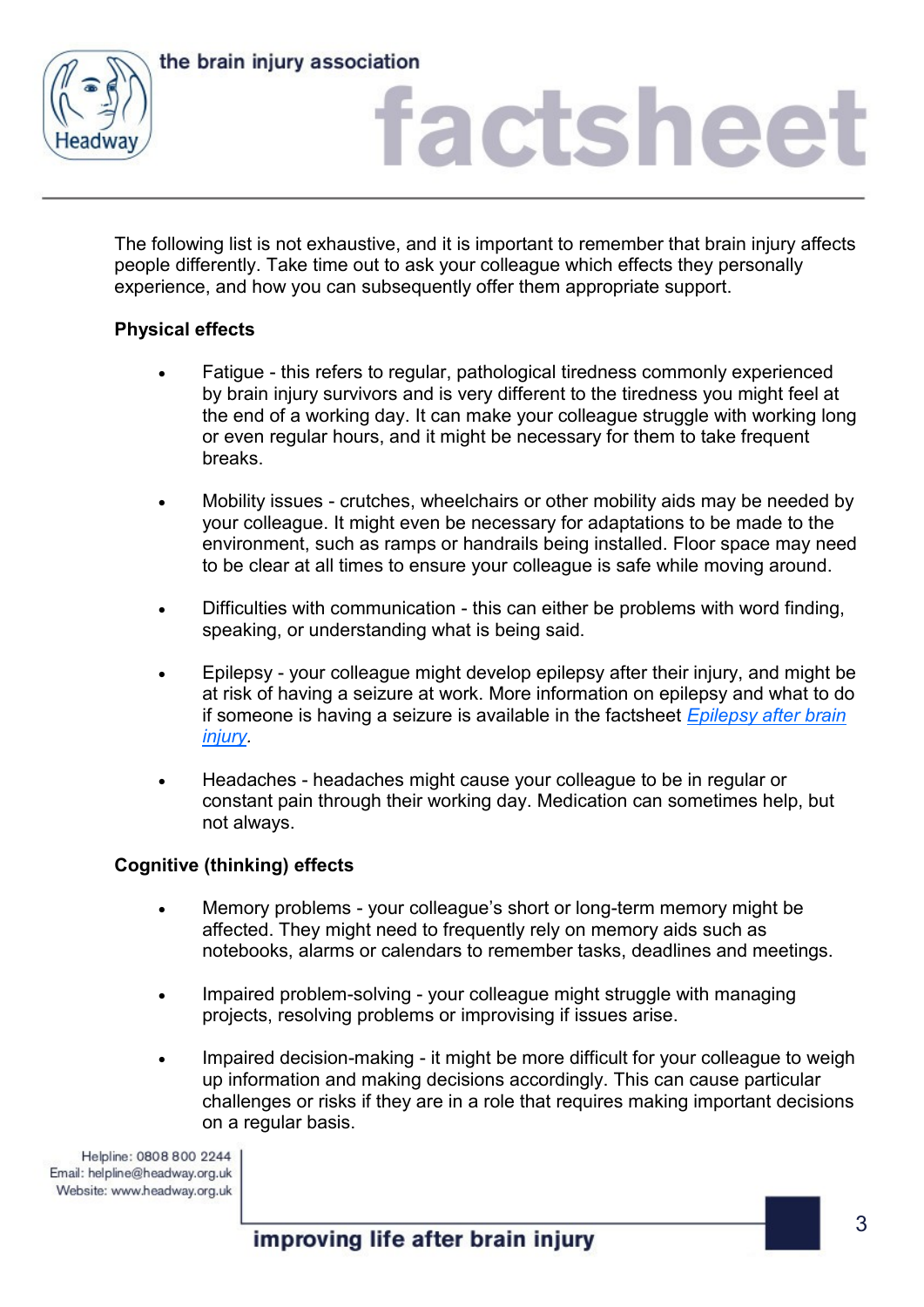



### factsheet

The following list is not exhaustive, and it is important to remember that brain injury affects people differently. Take time out to ask your colleague which effects they personally experience, and how you can subsequently offer them appropriate support.

### **Physical effects**

- Fatigue this refers to regular, pathological tiredness commonly experienced by brain injury survivors and is very different to the tiredness you might feel at the end of a working day. It can make your colleague struggle with working long or even regular hours, and it might be necessary for them to take frequent breaks.
- Mobility issues crutches, wheelchairs or other mobility aids may be needed by your colleague. It might even be necessary for adaptations to be made to the environment, such as ramps or handrails being installed. Floor space may need to be clear at all times to ensure your colleague is safe while moving around.
- Difficulties with communication this can either be problems with word finding, speaking, or understanding what is being said.
- Epilepsy your colleague might develop epilepsy after their injury, and might be at risk of having a seizure at work. More information on epilepsy and what to do if someone is having a seizure is available in the factsheet *[Epilepsy after brain](https://www.headway.org.uk/media/2800/epilepsy-after-brain-injury-factsheet.pdf)  [injury.](https://www.headway.org.uk/media/2800/epilepsy-after-brain-injury-factsheet.pdf)*
- Headaches headaches might cause your colleague to be in regular or constant pain through their working day. Medication can sometimes help, but not always.

### **Cognitive (thinking) effects**

- Memory problems your colleague's short or long-term memory might be affected. They might need to frequently rely on memory aids such as notebooks, alarms or calendars to remember tasks, deadlines and meetings.
- Impaired problem-solving your colleague might struggle with managing projects, resolving problems or improvising if issues arise.
- Impaired decision-making it might be more difficult for your colleague to weigh up information and making decisions accordingly. This can cause particular challenges or risks if they are in a role that requires making important decisions on a regular basis.

Helpline: 0808 800 2244 Email: helpline@headway.org.uk Website: www.headway.org.uk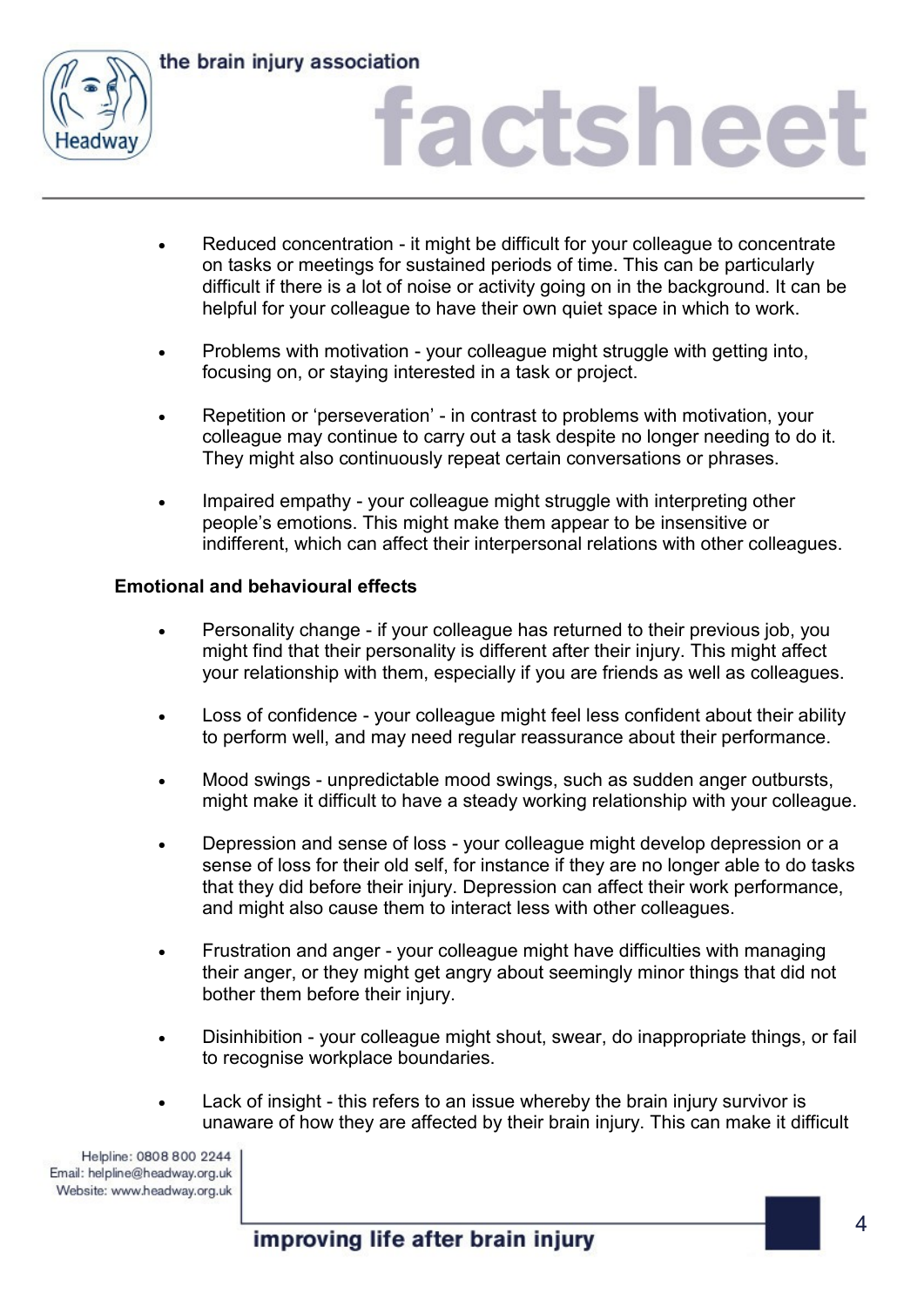

## factsheet

- Reduced concentration it might be difficult for your colleague to concentrate on tasks or meetings for sustained periods of time. This can be particularly difficult if there is a lot of noise or activity going on in the background. It can be helpful for your colleague to have their own quiet space in which to work.
- Problems with motivation your colleague might struggle with getting into, focusing on, or staying interested in a task or project.
- Repetition or 'perseveration' in contrast to problems with motivation, your colleague may continue to carry out a task despite no longer needing to do it. They might also continuously repeat certain conversations or phrases.
- Impaired empathy your colleague might struggle with interpreting other people's emotions. This might make them appear to be insensitive or indifferent, which can affect their interpersonal relations with other colleagues.

### **Emotional and behavioural effects**

- Personality change if your colleague has returned to their previous job, you might find that their personality is different after their injury. This might affect your relationship with them, especially if you are friends as well as colleagues.
- Loss of confidence your colleague might feel less confident about their ability to perform well, and may need regular reassurance about their performance.
- Mood swings unpredictable mood swings, such as sudden anger outbursts, might make it difficult to have a steady working relationship with your colleague.
- Depression and sense of loss your colleague might develop depression or a sense of loss for their old self, for instance if they are no longer able to do tasks that they did before their injury. Depression can affect their work performance, and might also cause them to interact less with other colleagues.
- Frustration and anger your colleague might have difficulties with managing their anger, or they might get angry about seemingly minor things that did not bother them before their injury.
- Disinhibition your colleague might shout, swear, do inappropriate things, or fail to recognise workplace boundaries.
- Lack of insight this refers to an issue whereby the brain injury survivor is unaware of how they are affected by their brain injury. This can make it difficult

Helpline: 0808 800 2244 Email: helpline@headway.org.uk Website: www.headway.org.uk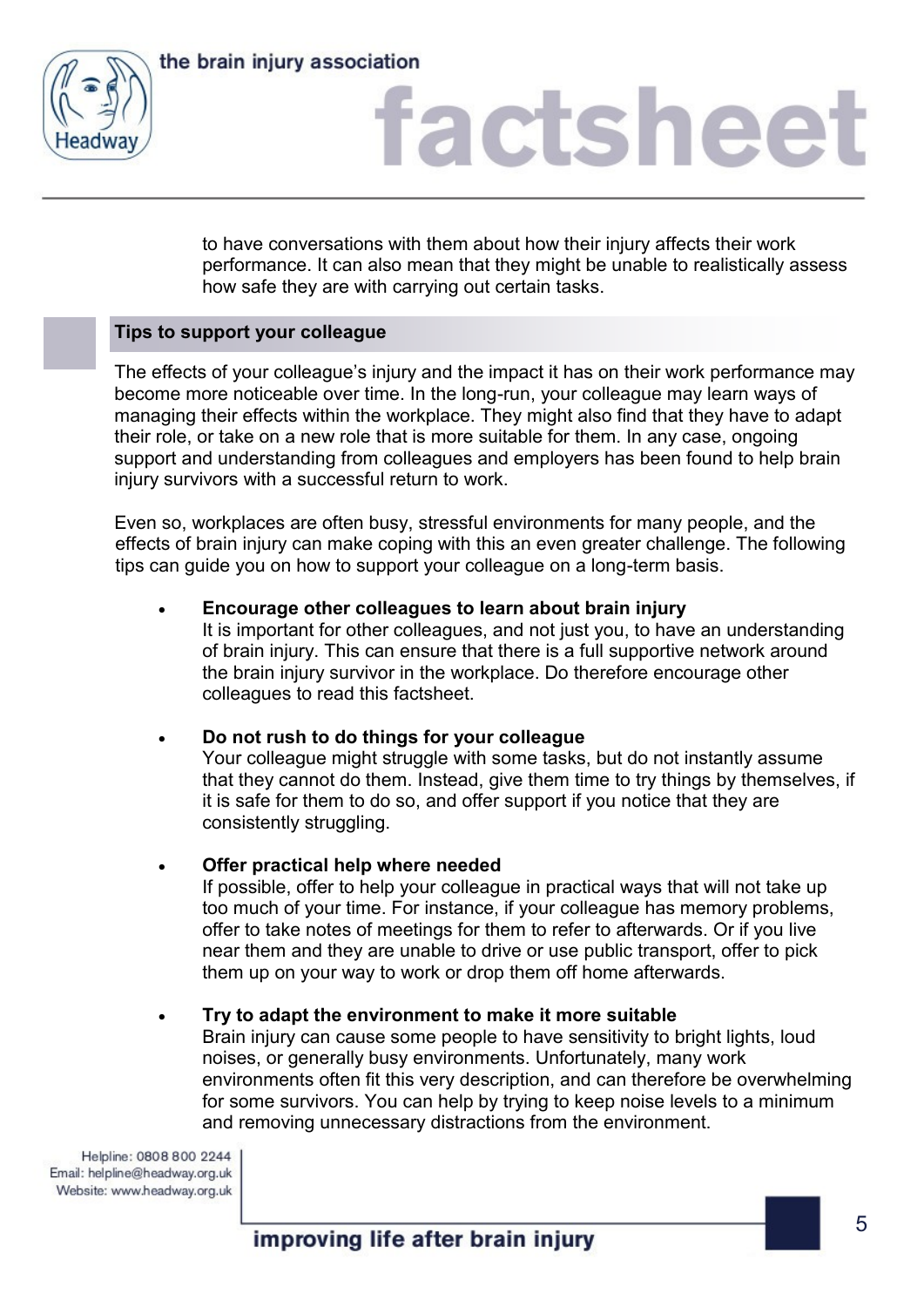

## factsheet

to have conversations with them about how their injury affects their work performance. It can also mean that they might be unable to realistically assess how safe they are with carrying out certain tasks.

### **Tips to support your colleague**

The effects of your colleague's injury and the impact it has on their work performance may become more noticeable over time. In the long-run, your colleague may learn ways of managing their effects within the workplace. They might also find that they have to adapt their role, or take on a new role that is more suitable for them. In any case, ongoing support and understanding from colleagues and employers has been found to help brain injury survivors with a successful return to work.

Even so, workplaces are often busy, stressful environments for many people, and the effects of brain injury can make coping with this an even greater challenge. The following tips can guide you on how to support your colleague on a long-term basis.

### **Encourage other colleagues to learn about brain injury**

It is important for other colleagues, and not just you, to have an understanding of brain injury. This can ensure that there is a full supportive network around the brain injury survivor in the workplace. Do therefore encourage other colleagues to read this factsheet.

### **Do not rush to do things for your colleague**

Your colleague might struggle with some tasks, but do not instantly assume that they cannot do them. Instead, give them time to try things by themselves, if it is safe for them to do so, and offer support if you notice that they are consistently struggling.

### **Offer practical help where needed**

If possible, offer to help your colleague in practical ways that will not take up too much of your time. For instance, if your colleague has memory problems, offer to take notes of meetings for them to refer to afterwards. Or if you live near them and they are unable to drive or use public transport, offer to pick them up on your way to work or drop them off home afterwards.

### **Try to adapt the environment to make it more suitable**

Brain injury can cause some people to have sensitivity to bright lights, loud noises, or generally busy environments. Unfortunately, many work environments often fit this very description, and can therefore be overwhelming for some survivors. You can help by trying to keep noise levels to a minimum and removing unnecessary distractions from the environment.

Helpline: 0808 800 2244 Email: helpline@headway.org.uk Website: www.headway.org.uk